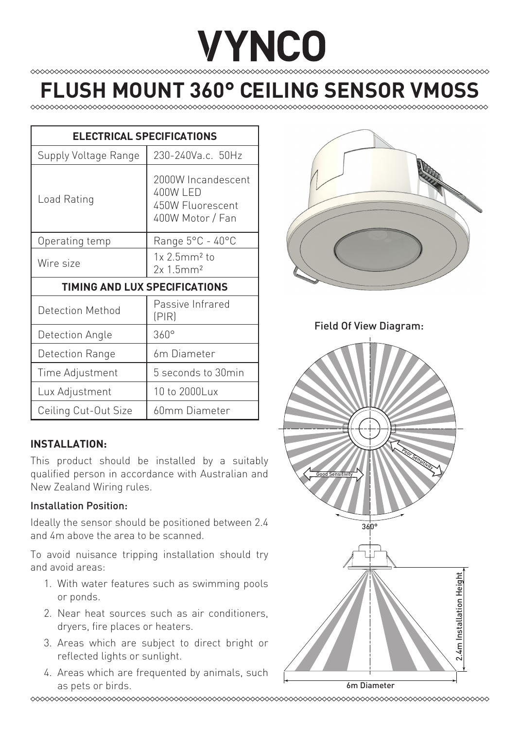# **VYNCO**

## **FLUSH MOUNT 360° CEILING SENSOR VMO**

| <b>ELECTRICAL SPECIFICATIONS</b> |                                                                        |
|----------------------------------|------------------------------------------------------------------------|
| Supply Voltage Range             | 230-240Va.c. 50Hz                                                      |
| Load Rating                      | 2000W Incandescent<br>400W LED<br>450W Fluorescent<br>400W Motor / Fan |
| Operating temp                   | Range 5°C - 40°C                                                       |
| Wire size                        | $1x2.5mm2$ to<br>2x 1.5mm <sup>2</sup>                                 |
| TIMING AND LUX SPECIFICATIONS    |                                                                        |
| Detection Method                 | Passive Infrared<br>(PIR)                                              |
| Detection Angle                  | $360^\circ$                                                            |
| Detection Range                  | 6 <sub>m</sub> Diameter                                                |
| Time Adjustment                  | 5 seconds to 30min                                                     |
| Lux Adjustment                   | 10 to 2000Lux                                                          |
| Ceiling Cut-Out Size             | 60mm Diameter                                                          |

#### **INSTALLATION:**

This product should be installed by a suitably qualified person in accordance with Australian and New Zealand Wiring rules.

#### Installation Position:

Ideally the sensor should be positioned between 2.4 and 4m above the area to be scanned.

To avoid nuisance tripping installation should try and avoid areas:

- 1. With water features such as swimming pools or ponds.
- 2. Near heat sources such as air conditioners, dryers, fire places or heaters.
- 3. Areas which are subject to direct bright or reflected lights or sunlight.
- 4. Areas which are frequented by animals, such as pets or birds. **6m Diameter** 6m Diameter